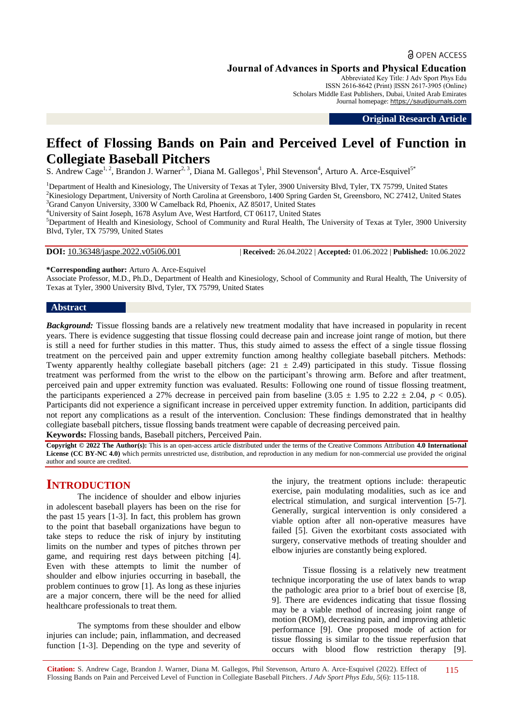# **a** OPEN ACCESS

**Journal of Advances in Sports and Physical Education**

Abbreviated Key Title: J Adv Sport Phys Edu ISSN 2616-8642 (Print) |ISSN 2617-3905 (Online) Scholars Middle East Publishers, Dubai, United Arab Emirates Journal homepage: [https://saudijournals.com](https://saudijournals.com/jaspe)

**Original Research Article**

# **Effect of Flossing Bands on Pain and Perceived Level of Function in Collegiate Baseball Pitchers**

S. Andrew Cage<sup>1, 2</sup>, Brandon J. Warner<sup>2, 3</sup>, Diana M. Gallegos<sup>1</sup>, Phil Stevenson<sup>4</sup>, Arturo A. Arce-Esquivel<sup>5\*</sup>

<sup>1</sup>Department of Health and Kinesiology, The University of Texas at Tyler, 3900 University Blvd, Tyler, TX 75799, United States <sup>2</sup>Kinesiology Department, University of North Carolina at Greensboro, 1400 Spring Garden St, Greensboro, NC 27412, United States <sup>3</sup>Grand Canyon University, 3300 W Camelback Rd, Phoenix, AZ 85017, United States

<sup>4</sup>University of Saint Joseph, 1678 Asylum Ave, West Hartford, CT 06117, United States

<sup>5</sup>Department of Health and Kinesiology, School of Community and Rural Health, The University of Texas at Tyler, 3900 University Blvd, Tyler, TX 75799, United States

**DOI:** 10.36348/jaspe.2022.v05i06.001 | **Received:** 26.04.2022 | **Accepted:** 01.06.2022 | **Published:** 10.06.2022

**\*Corresponding author:** Arturo A. Arce-Esquivel

Associate Professor, M.D., Ph.D., Department of Health and Kinesiology, School of Community and Rural Health, The University of Texas at Tyler, 3900 University Blvd, Tyler, TX 75799, United States

#### **Abstract**

*Background:* Tissue flossing bands are a relatively new treatment modality that have increased in popularity in recent years. There is evidence suggesting that tissue flossing could decrease pain and increase joint range of motion, but there is still a need for further studies in this matter. Thus, this study aimed to assess the effect of a single tissue flossing treatment on the perceived pain and upper extremity function among healthy collegiate baseball pitchers. Methods: Twenty apparently healthy collegiate baseball pitchers (age:  $21 \pm 2.49$ ) participated in this study. Tissue flossing treatment was performed from the wrist to the elbow on the participant's throwing arm. Before and after treatment, perceived pain and upper extremity function was evaluated. Results: Following one round of tissue flossing treatment, the participants experienced a 27% decrease in perceived pain from baseline  $(3.05 \pm 1.95 \text{ to } 2.22 \pm 2.04, p < 0.05)$ . Participants did not experience a significant increase in perceived upper extremity function. In addition, participants did not report any complications as a result of the intervention. Conclusion: These findings demonstrated that in healthy collegiate baseball pitchers, tissue flossing bands treatment were capable of decreasing perceived pain. **Keywords:** Flossing bands, Baseball pitchers, Perceived Pain.

**Copyright © 2022 The Author(s):** This is an open-access article distributed under the terms of the Creative Commons Attribution **4.0 International License (CC BY-NC 4.0)** which permits unrestricted use, distribution, and reproduction in any medium for non-commercial use provided the original author and source are credited.

# **INTRODUCTION**

The incidence of shoulder and elbow injuries in adolescent baseball players has been on the rise for the past 15 years [1-3]. In fact, this problem has grown to the point that baseball organizations have begun to take steps to reduce the risk of injury by instituting limits on the number and types of pitches thrown per game, and requiring rest days between pitching [4]. Even with these attempts to limit the number of shoulder and elbow injuries occurring in baseball, the problem continues to grow [1]. As long as these injuries are a major concern, there will be the need for allied healthcare professionals to treat them.

The symptoms from these shoulder and elbow injuries can include; pain, inflammation, and decreased function [1-3]. Depending on the type and severity of the injury, the treatment options include: therapeutic exercise, pain modulating modalities, such as ice and electrical stimulation, and surgical intervention [5-7]. Generally, surgical intervention is only considered a viable option after all non-operative measures have failed [5]. Given the exorbitant costs associated with surgery, conservative methods of treating shoulder and elbow injuries are constantly being explored.

Tissue flossing is a relatively new treatment technique incorporating the use of latex bands to wrap the pathologic area prior to a brief bout of exercise [8, 9]. There are evidences indicating that tissue flossing may be a viable method of increasing joint range of motion (ROM), decreasing pain, and improving athletic performance [9]. One proposed mode of action for tissue flossing is similar to the tissue reperfusion that occurs with blood flow restriction therapy [9].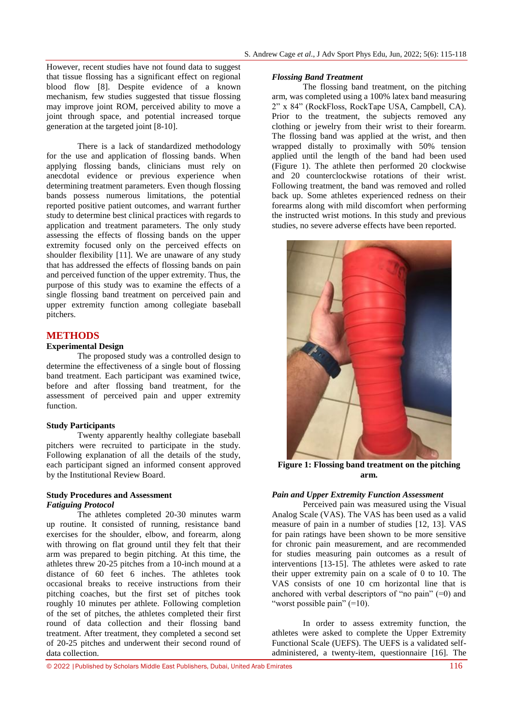However, recent studies have not found data to suggest that tissue flossing has a significant effect on regional blood flow [8]. Despite evidence of a known mechanism, few studies suggested that tissue flossing may improve joint ROM, perceived ability to move a joint through space, and potential increased torque generation at the targeted joint [8-10].

There is a lack of standardized methodology for the use and application of flossing bands. When applying flossing bands, clinicians must rely on anecdotal evidence or previous experience when determining treatment parameters. Even though flossing bands possess numerous limitations, the potential reported positive patient outcomes, and warrant further study to determine best clinical practices with regards to application and treatment parameters. The only study assessing the effects of flossing bands on the upper extremity focused only on the perceived effects on shoulder flexibility [11]. We are unaware of any study that has addressed the effects of flossing bands on pain and perceived function of the upper extremity. Thus, the purpose of this study was to examine the effects of a single flossing band treatment on perceived pain and upper extremity function among collegiate baseball pitchers.

# **METHODS**

#### **Experimental Design**

The proposed study was a controlled design to determine the effectiveness of a single bout of flossing band treatment. Each participant was examined twice, before and after flossing band treatment, for the assessment of perceived pain and upper extremity function.

#### **Study Participants**

Twenty apparently healthy collegiate baseball pitchers were recruited to participate in the study. Following explanation of all the details of the study, each participant signed an informed consent approved by the Institutional Review Board.

# **Study Procedures and Assessment** *Fatiguing Protocol*

The athletes completed 20-30 minutes warm up routine. It consisted of running, resistance band exercises for the shoulder, elbow, and forearm, along with throwing on flat ground until they felt that their arm was prepared to begin pitching. At this time, the athletes threw 20-25 pitches from a 10-inch mound at a distance of 60 feet 6 inches. The athletes took occasional breaks to receive instructions from their pitching coaches, but the first set of pitches took roughly 10 minutes per athlete. Following completion of the set of pitches, the athletes completed their first round of data collection and their flossing band treatment. After treatment, they completed a second set of 20-25 pitches and underwent their second round of data collection.

#### *Flossing Band Treatment*

The flossing band treatment, on the pitching arm, was completed using a 100% latex band measuring 2" x 84" (RockFloss, RockTape USA, Campbell, CA). Prior to the treatment, the subjects removed any clothing or jewelry from their wrist to their forearm. The flossing band was applied at the wrist, and then wrapped distally to proximally with 50% tension applied until the length of the band had been used (Figure 1). The athlete then performed 20 clockwise and 20 counterclockwise rotations of their wrist. Following treatment, the band was removed and rolled back up. Some athletes experienced redness on their forearms along with mild discomfort when performing the instructed wrist motions. In this study and previous studies, no severe adverse effects have been reported.



**Figure 1: Flossing band treatment on the pitching arm.**

### *Pain and Upper Extremity Function Assessment*

Perceived pain was measured using the Visual Analog Scale (VAS). The VAS has been used as a valid measure of pain in a number of studies [12, 13]. VAS for pain ratings have been shown to be more sensitive for chronic pain measurement, and are recommended for studies measuring pain outcomes as a result of interventions [13-15]. The athletes were asked to rate their upper extremity pain on a scale of 0 to 10. The VAS consists of one 10 cm horizontal line that is anchored with verbal descriptors of "no pain"  $(=0)$  and "worst possible pain"  $(=10)$ .

In order to assess extremity function, the athletes were asked to complete the Upper Extremity Functional Scale (UEFS). The UEFS is a validated selfadministered, a twenty-item, questionnaire [16]. The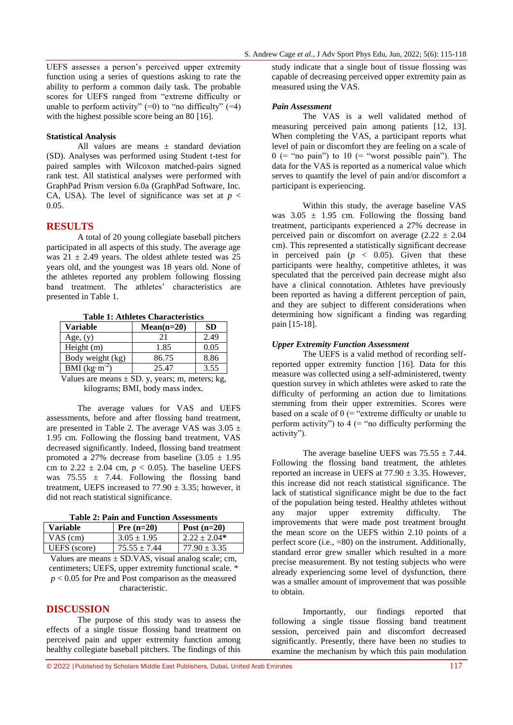UEFS assesses a person's perceived upper extremity function using a series of questions asking to rate the ability to perform a common daily task. The probable scores for UEFS ranged from "extreme difficulty or unable to perform activity"  $(=0)$  to "no difficulty"  $(=4)$ with the highest possible score being an 80 [16].

#### **Statistical Analysis**

All values are means ± standard deviation (SD). Analyses was performed using Student t-test for paired samples with Wilcoxon matched-pairs signed rank test. All statistical analyses were performed with GraphPad Prism version 6.0a (GraphPad Software, Inc. CA, USA). The level of significance was set at  $p <$ 0.05.

# **RESULTS**

A total of 20 young collegiate baseball pitchers participated in all aspects of this study. The average age was  $21 \pm 2.49$  years. The oldest athlete tested was 25 years old, and the youngest was 18 years old. None of the athletes reported any problem following flossing band treatment. The athletes' characteristics are presented in Table 1.

**Table 1: Athletes Characteristics**

| Variable         | $Mean(n=20)$ | SD   |
|------------------|--------------|------|
| Age, $(y)$       | 21           | 2.49 |
| Height (m)       | 1.85         | 0.05 |
| Body weight (kg) | 86.75        | 8.86 |
| BMI $(kg·m-2)$   | 25.47        | 3.55 |
|                  |              |      |

Values are means  $\pm$  SD. y, years; m, meters; kg, kilograms; BMI, body mass index.

The average values for VAS and UEFS assessments, before and after flossing band treatment, are presented in Table 2. The average VAS was  $3.05 \pm$ 1.95 cm. Following the flossing band treatment, VAS decreased significantly. Indeed, flossing band treatment promoted a 27% decrease from baseline  $(3.05 \pm 1.95)$ cm to  $2.22 \pm 2.04$  cm,  $p < 0.05$ ). The baseline UEFS was  $75.55 \pm 7.44$ . Following the flossing band treatment, UEFS increased to  $77.90 \pm 3.35$ ; however, it did not reach statistical significance.

**Table 2: Pain and Function Assessments**

| <b>Variable</b> | Pre $(n=20)$                                | Post $(n=20)$    |
|-----------------|---------------------------------------------|------------------|
| $VAS$ (cm)      | $3.05 \pm 1.95$                             | $2.22 \pm 2.04*$ |
| UEFS (score)    | $75.55 \pm 7.44$                            | $77.90 \pm 3.35$ |
| - Y 7 1         | $\alpha$ $\beta$ $\gamma$ $\gamma$ $\alpha$ |                  |

Values are means  $\pm$  SD.VAS, visual analog scale; cm, centimeters; UEFS, upper extremity functional scale. \* *p* < 0.05 for Pre and Post comparison as the measured characteristic.

# **DISCUSSION**

The purpose of this study was to assess the effects of a single tissue flossing band treatment on perceived pain and upper extremity function among healthy collegiate baseball pitchers. The findings of this

study indicate that a single bout of tissue flossing was capable of decreasing perceived upper extremity pain as measured using the VAS.

#### *Pain Assessment*

The VAS is a well validated method of measuring perceived pain among patients [12, 13]. When completing the VAS, a participant reports what level of pain or discomfort they are feeling on a scale of  $0$  (= "no pain") to  $10$  (= "worst possible pain"). The data for the VAS is reported as a numerical value which serves to quantify the level of pain and/or discomfort a participant is experiencing.

Within this study, the average baseline VAS was  $3.05 \pm 1.95$  cm. Following the flossing band treatment, participants experienced a 27% decrease in perceived pain or discomfort on average  $(2.22 \pm 2.04)$ cm). This represented a statistically significant decrease in perceived pain  $(p \lt 0.05)$ . Given that these participants were healthy, competitive athletes, it was speculated that the perceived pain decrease might also have a clinical connotation. Athletes have previously been reported as having a different perception of pain, and they are subject to different considerations when determining how significant a finding was regarding pain [15-18].

### *Upper Extremity Function Assessment*

The UEFS is a valid method of recording selfreported upper extremity function [16]. Data for this measure was collected using a self-administered, twenty question survey in which athletes were asked to rate the difficulty of performing an action due to limitations stemming from their upper extremities. Scores were based on a scale of  $0$  (= "extreme difficulty or unable to perform activity") to  $4$  (= "no difficulty performing the activity").

The average baseline UEFS was  $75.55 \pm 7.44$ . Following the flossing band treatment, the athletes reported an increase in UEFS at  $77.90 \pm 3.35$ . However, this increase did not reach statistical significance. The lack of statistical significance might be due to the fact of the population being tested. Healthy athletes without any major upper extremity difficulty. The improvements that were made post treatment brought the mean score on the UEFS within 2.10 points of a perfect score  $(i.e., =80)$  on the instrument. Additionally, standard error grew smaller which resulted in a more precise measurement. By not testing subjects who were already experiencing some level of dysfunction, there was a smaller amount of improvement that was possible to obtain.

Importantly, our findings reported that following a single tissue flossing band treatment session, perceived pain and discomfort decreased significantly. Presently, there have been no studies to examine the mechanism by which this pain modulation